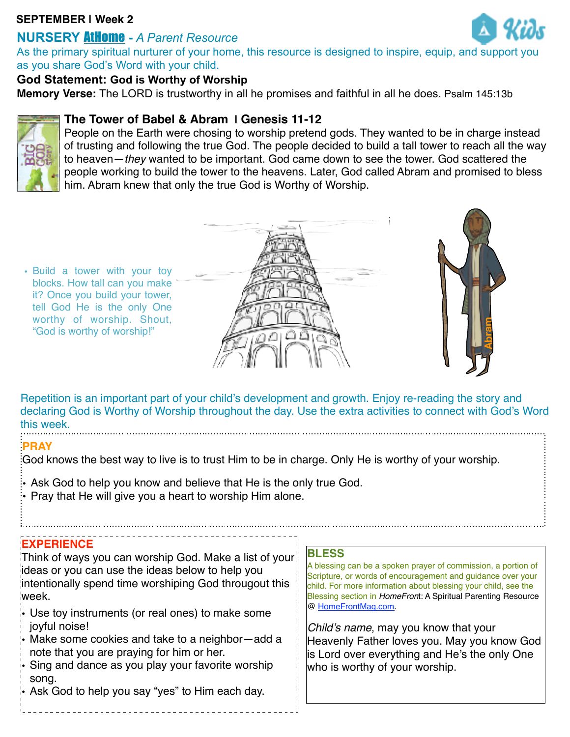#### **SEPTEMBER | Week 2**

# **NURSERY** AtHome **-** *A Parent Resource*

As the primary spiritual nurturer of your home, this resource is designed to inspire, equip, and support you as you share God's Word with your child.

### **God Statement: God is Worthy of Worship**

**Memory Verse:** The LORD is trustworthy in all he promises and faithful in all he does. Psalm 145:13b



### **The Tower of Babel & Abram | Genesis 11-12**

People on the Earth were chosing to worship pretend gods. They wanted to be in charge instead of trusting and following the true God. The people decided to build a tall tower to reach all the way to heaven—*they* wanted to be important. God came down to see the tower. God scattered the people working to build the tower to the heavens. Later, God called Abram and promised to bless him. Abram knew that only the true God is Worthy of Worship.

• Build a tower with your toy blocks. How tall can you make it? Once you build your tower, tell God He is the only One worthy of worship. Shout, "God is worthy of worship!"





Repetition is an important part of your child's development and growth. Enjoy re-reading the story and declaring God is Worthy of Worship throughout the day. Use the extra activities to connect with God's Word this week.

#### **PRAY**

God knows the best way to live is to trust Him to be in charge. Only He is worthy of your worship.

- Ask God to help you know and believe that He is the only true God.
- Pray that He will give you a heart to worship Him alone.

## **EXPERIENCE**

Think of ways you can worship God. Make a list of your ideas or you can use the ideas below to help you intentionally spend time worshiping God througout this week.

- Use toy instruments (or real ones) to make some joyful noise!
- Make some cookies and take to a neighbor—add a note that you are praying for him or her.
- Sing and dance as you play your favorite worship song.
- Ask God to help you say "yes" to Him each day.

#### **BLESS**

A blessing can be a spoken prayer of commission, a portion of Scripture, or words of encouragement and guidance over your child. For more information about blessing your child, see the Blessing section in *HomeFron*t: A Spiritual Parenting Resource @ [HomeFrontMag.com.](http://www.homefrontmag.com/)

*Child's name*, may you know that your Heavenly Father loves you. May you know God is Lord over everything and He's the only One who is worthy of your worship.

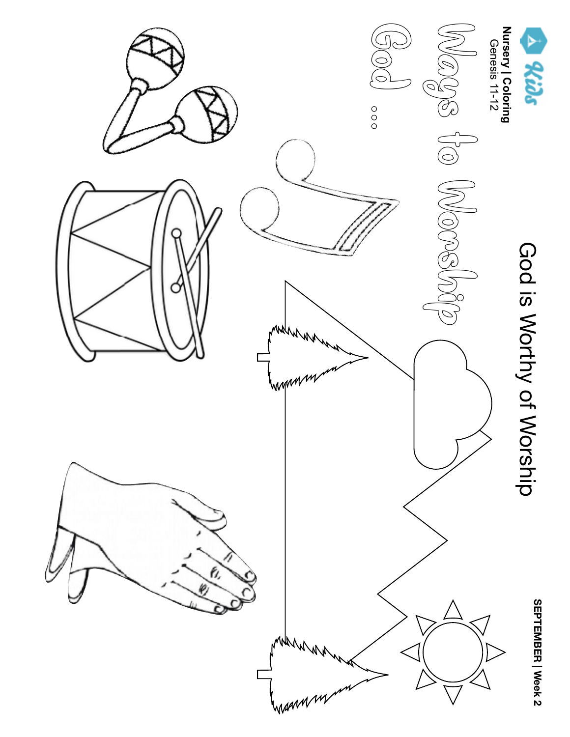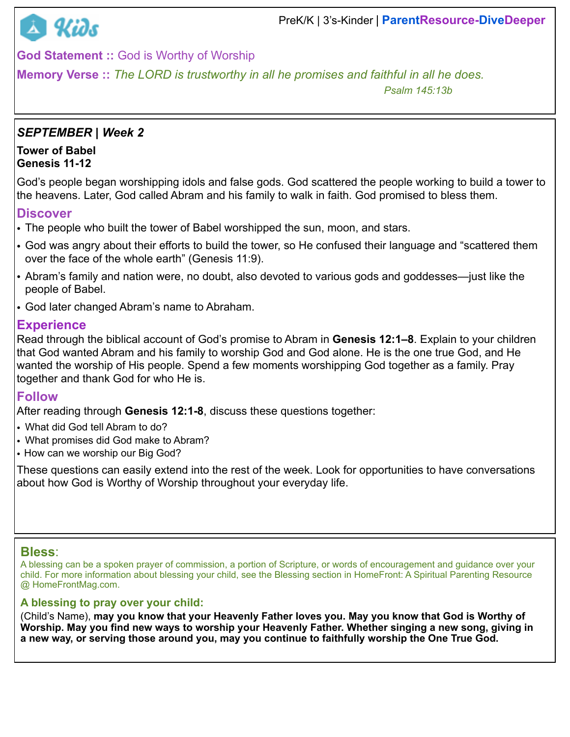

**God Statement ::** God is Worthy of Worship

**Memory Verse ::** *The LORD is trustworthy in all he promises and faithful in all he does.* 

 *Psalm 145:13b*

### *SEPTEMBER | Week 2*

#### **Tower of Babel Genesis 11-12**

God's people began worshipping idols and false gods. God scattered the people working to build a tower to the heavens. Later, God called Abram and his family to walk in faith. God promised to bless them.

#### **Discover**

- The people who built the tower of Babel worshipped the sun, moon, and stars.
- God was angry about their efforts to build the tower, so He confused their language and "scattered them over the face of the whole earth" (Genesis 11:9).
- Abram's family and nation were, no doubt, also devoted to various gods and goddesses—just like the people of Babel.
- God later changed Abram's name to Abraham.

### **Experience**

Read through the biblical account of God's promise to Abram in **Genesis 12:1–8**. Explain to your children that God wanted Abram and his family to worship God and God alone. He is the one true God, and He wanted the worship of His people. Spend a few moments worshipping God together as a family. Pray together and thank God for who He is.

## **Follow**

After reading through **Genesis 12:1-8**, discuss these questions together:

- What did God tell Abram to do?
- What promises did God make to Abram?
- How can we worship our Big God?

These questions can easily extend into the rest of the week. Look for opportunities to have conversations about how God is Worthy of Worship throughout your everyday life.

#### **Bless**:

A blessing can be a spoken prayer of commission, a portion of Scripture, or words of encouragement and guidance over your child. For more information about blessing your child, see the Blessing section in HomeFront: A Spiritual Parenting Resource @ [HomeFrontMag.com](http://www.homefrontmag.com/).

#### **A blessing to pray over your child:**

(Child's Name), **may you know that your Heavenly Father loves you. May you know that God is Worthy of Worship. May you find new ways to worship your Heavenly Father. Whether singing a new song, giving in a new way, or serving those around you, may you continue to faithfully worship the One True God.**